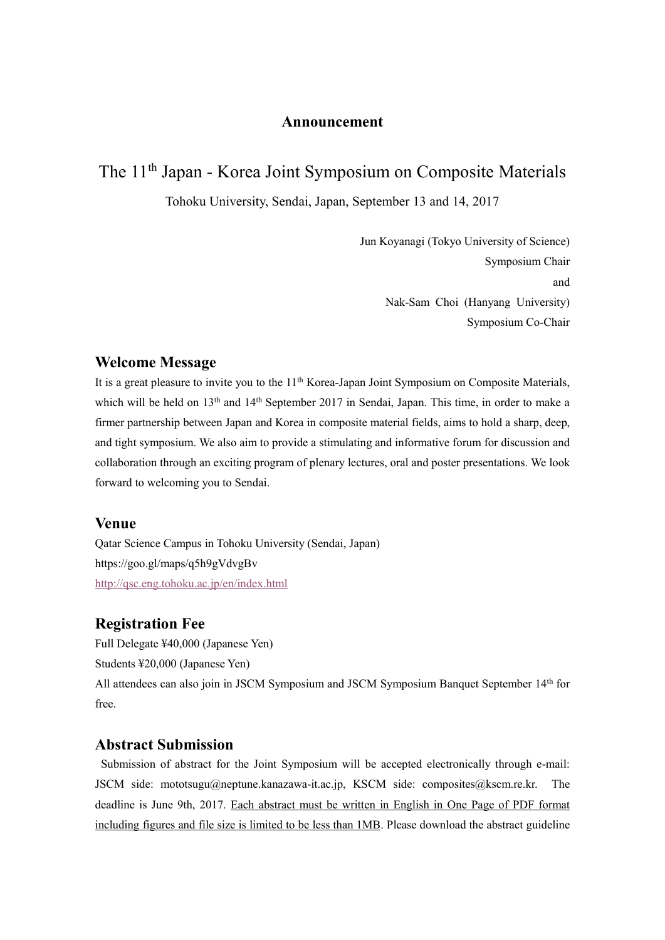## **Announcement**

# The 11th Japan - Korea Joint Symposium on Composite Materials

Tohoku University, Sendai, Japan, September 13 and 14, 2017

Jun Koyanagi (Tokyo University of Science) Symposium Chair and Nak-Sam Choi (Hanyang University) Symposium Co-Chair

# **Welcome Message**

It is a great pleasure to invite you to the 11<sup>th</sup> Korea-Japan Joint Symposium on Composite Materials, which will be held on 13<sup>th</sup> and 14<sup>th</sup> September 2017 in Sendai, Japan. This time, in order to make a firmer partnership between Japan and Korea in composite material fields, aims to hold a sharp, deep, and tight symposium. We also aim to provide a stimulating and informative forum for discussion and collaboration through an exciting program of plenary lectures, oral and poster presentations. We look forward to welcoming you to Sendai.

### **Venue**

Qatar Science Campus in Tohoku University (Sendai, Japan) https://goo.gl/maps/q5h9gVdvgBv <http://qsc.eng.tohoku.ac.jp/en/index.html>

## **Registration Fee**

Full Delegate ¥40,000 (Japanese Yen) Students ¥20,000 (Japanese Yen) All attendees can also join in JSCM Symposium and JSCM Symposium Banquet September 14th for free.

# **Abstract Submission**

Submission of abstract for the Joint Symposium will be accepted electronically through e-mail: JSCM side: mototsugu@neptune.kanazawa-it.ac.jp, KSCM side: composites@kscm.re.kr. The deadline is June 9th, 2017. Each abstract must be written in English in One Page of PDF format including figures and file size is limited to be less than 1MB. Please download the abstract guideline